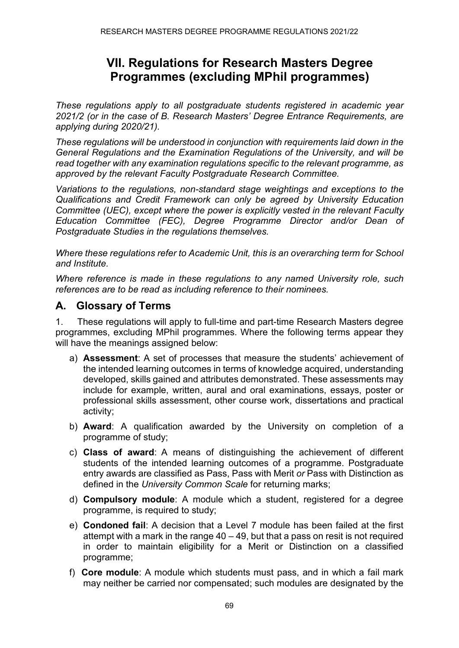# **VII. Regulations for Research Masters Degree Programmes (excluding MPhil programmes)**

*These regulations apply to all postgraduate students registered in academic year 2021/2 (or in the case of B. Research Masters' Degree Entrance Requirements, are applying during 2020/21).*

*These regulations will be understood in conjunction with requirements laid down in the General Regulations and the Examination Regulations of the University, and will be read together with any examination regulations specific to the relevant programme, as approved by the relevant Faculty Postgraduate Research Committee.*

*Variations to the regulations, non-standard stage weightings and exceptions to the Qualifications and Credit Framework can only be agreed by University Education Committee (UEC), except where the power is explicitly vested in the relevant Faculty Education Committee (FEC), Degree Programme Director and/or Dean of Postgraduate Studies in the regulations themselves.*

*Where these regulations refer to Academic Unit, this is an overarching term for School and Institute.*

*Where reference is made in these regulations to any named University role, such references are to be read as including reference to their nominees.*

### **A. Glossary of Terms**

1. These regulations will apply to full-time and part-time Research Masters degree programmes, excluding MPhil programmes. Where the following terms appear they will have the meanings assigned below:

- a) **Assessment**: A set of processes that measure the students' achievement of the intended learning outcomes in terms of knowledge acquired, understanding developed, skills gained and attributes demonstrated. These assessments may include for example, written, aural and oral examinations, essays, poster or professional skills assessment, other course work, dissertations and practical activity;
- b) **Award**: A qualification awarded by the University on completion of a programme of study;
- c) **Class of award**: A means of distinguishing the achievement of different students of the intended learning outcomes of a programme. Postgraduate entry awards are classified as Pass, Pass with Merit *or* Pass with Distinction as defined in the *University Common Scale* for returning marks;
- d) **Compulsory module**: A module which a student, registered for a degree programme, is required to study;
- e) **Condoned fail**: A decision that a Level 7 module has been failed at the first attempt with a mark in the range  $40 - 49$ , but that a pass on resit is not required in order to maintain eligibility for a Merit or Distinction on a classified programme;
- f) **Core module**: A module which students must pass, and in which a fail mark may neither be carried nor compensated; such modules are designated by the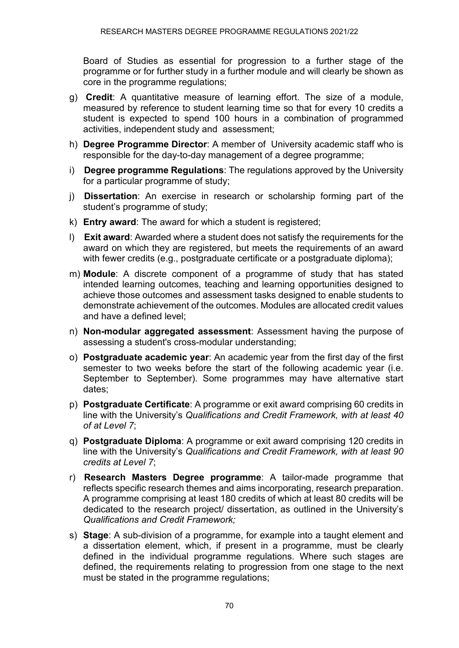Board of Studies as essential for progression to a further stage of the programme or for further study in a further module and will clearly be shown as core in the programme regulations;

- g) **Credit**: A quantitative measure of learning effort. The size of a module, measured by reference to student learning time so that for every 10 credits a student is expected to spend 100 hours in a combination of programmed activities, independent study and assessment;
- h) **Degree Programme Director**: A member of University academic staff who is responsible for the day-to-day management of a degree programme;
- i) **Degree programme Regulations**: The regulations approved by the University for a particular programme of study;
- j) **Dissertation**: An exercise in research or scholarship forming part of the student's programme of study;
- k) **Entry award**: The award for which a student is registered;
- l) **Exit award**: Awarded where a student does not satisfy the requirements for the award on which they are registered, but meets the requirements of an award with fewer credits (e.g., postgraduate certificate or a postgraduate diploma):
- m) **Module**: A discrete component of a programme of study that has stated intended learning outcomes, teaching and learning opportunities designed to achieve those outcomes and assessment tasks designed to enable students to demonstrate achievement of the outcomes. Modules are allocated credit values and have a defined level;
- n) **Non-modular aggregated assessment**: Assessment having the purpose of assessing a student's cross-modular understanding;
- o) **Postgraduate academic year**: An academic year from the first day of the first semester to two weeks before the start of the following academic year (i.e. September to September). Some programmes may have alternative start dates;
- p) **Postgraduate Certificate**: A programme or exit award comprising 60 credits in line with the University's *Qualifications and Credit Framework, with at least 40 of at Level 7*;
- q) **Postgraduate Diploma**: A programme or exit award comprising 120 credits in line with the University's *Qualifications and Credit Framework, with at least 90 credits at Level 7*;
- r) **Research Masters Degree programme**: A tailor-made programme that reflects specific research themes and aims incorporating, research preparation. A programme comprising at least 180 credits of which at least 80 credits will be dedicated to the research project/ dissertation, as outlined in the University's *Qualifications and Credit Framework;*
- s) **Stage**: A sub-division of a programme, for example into a taught element and a dissertation element, which, if present in a programme, must be clearly defined in the individual programme regulations. Where such stages are defined, the requirements relating to progression from one stage to the next must be stated in the programme regulations;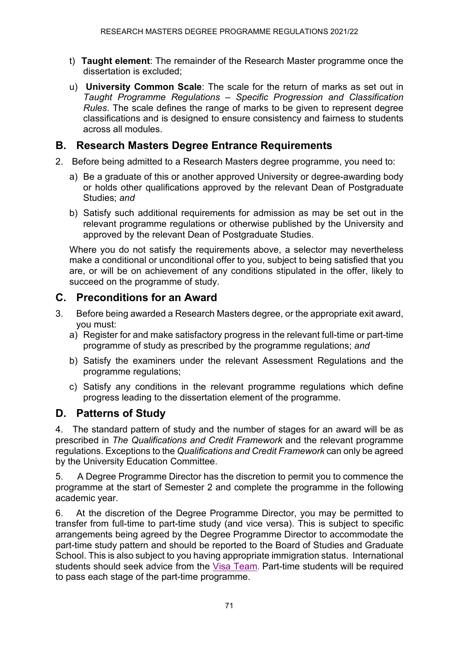- t) **Taught element**: The remainder of the Research Master programme once the dissertation is excluded;
- u) **University Common Scale**: The scale for the return of marks as set out in *Taught Programme Regulations – Specific Progression and Classification Rules*. The scale defines the range of marks to be given to represent degree classifications and is designed to ensure consistency and fairness to students across all modules.

## **B. Research Masters Degree Entrance Requirements**

- 2. Before being admitted to a Research Masters degree programme, you need to:
	- a) Be a graduate of this or another approved University or degree-awarding body or holds other qualifications approved by the relevant Dean of Postgraduate Studies; *and*
	- b) Satisfy such additional requirements for admission as may be set out in the relevant programme regulations or otherwise published by the University and approved by the relevant Dean of Postgraduate Studies.

Where you do not satisfy the requirements above, a selector may nevertheless make a conditional or unconditional offer to you, subject to being satisfied that you are, or will be on achievement of any conditions stipulated in the offer, likely to succeed on the programme of study.

## **C. Preconditions for an Award**

- 3. Before being awarded a Research Masters degree, or the appropriate exit award, you must:
	- a) Register for and make satisfactory progress in the relevant full-time or part-time programme of study as prescribed by the programme regulations; *and*
	- b) Satisfy the examiners under the relevant Assessment Regulations and the programme regulations;
	- c) Satisfy any conditions in the relevant programme regulations which define progress leading to the dissertation element of the programme.

## **D. Patterns of Study**

4. The standard pattern of study and the number of stages for an award will be as prescribed in *The Qualifications and Credit Framework* and the relevant programme regulations. Exceptions to the *Qualifications and Credit Framework* can only be agreed by the University Education Committee.

5. A Degree Programme Director has the discretion to permit you to commence the programme at the start of Semester 2 and complete the programme in the following academic year.

6. At the discretion of the Degree Programme Director, you may be permitted to transfer from full-time to part-time study (and vice versa). This is subject to specific arrangements being agreed by the Degree Programme Director to accommodate the part-time study pattern and should be reported to the Board of Studies and Graduate School. This is also subject to you having appropriate immigration status. International students should seek advice from the [Visa Team.](http://www.ncl.ac.uk/students/progress/visa/) Part-time students will be required to pass each stage of the part-time programme.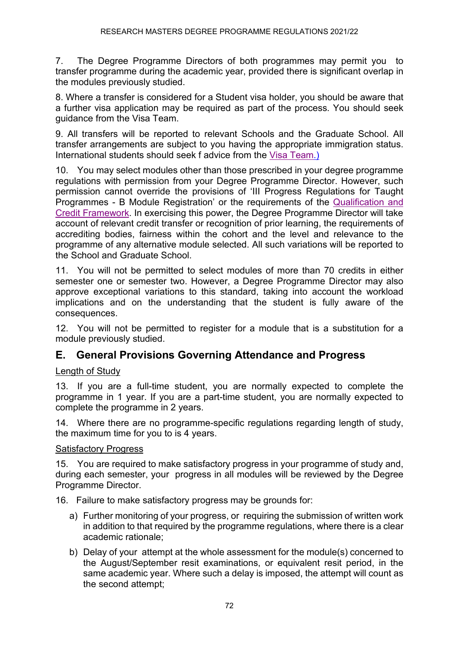7. The Degree Programme Directors of both programmes may permit you to transfer programme during the academic year, provided there is significant overlap in the modules previously studied.

8. Where a transfer is considered for a Student visa holder, you should be aware that a further visa application may be required as part of the process. You should seek guidance from the Visa Team.

9. All transfers will be reported to relevant Schools and the Graduate School. All transfer arrangements are subject to you having the appropriate immigration status. International students should seek f advice from the [Visa Team.](http://www.ncl.ac.uk/students/progress/visa/))

10. You may select modules other than those prescribed in your degree programme regulations with permission from your Degree Programme Director. However, such permission cannot override the provisions of 'III Progress Regulations for Taught Programmes - B Module Registration' or the requirements of the [Qualification and](https://www.ncl.ac.uk/ltds/governance/modules/qualifications/)  [Credit Framework.](https://www.ncl.ac.uk/ltds/governance/modules/qualifications/) In exercising this power, the Degree Programme Director will take account of relevant credit transfer or recognition of prior learning, the requirements of accrediting bodies, fairness within the cohort and the level and relevance to the programme of any alternative module selected. All such variations will be reported to the School and Graduate School.

11. You will not be permitted to select modules of more than 70 credits in either semester one or semester two. However, a Degree Programme Director may also approve exceptional variations to this standard, taking into account the workload implications and on the understanding that the student is fully aware of the consequences.

12. You will not be permitted to register for a module that is a substitution for a module previously studied.

## **E. General Provisions Governing Attendance and Progress**

#### Length of Study

13. If you are a full-time student, you are normally expected to complete the programme in 1 year. If you are a part-time student, you are normally expected to complete the programme in 2 years.

14. Where there are no programme-specific regulations regarding length of study, the maximum time for you to is 4 years.

#### Satisfactory Progress

15. You are required to make satisfactory progress in your programme of study and, during each semester, your progress in all modules will be reviewed by the Degree Programme Director.

16. Failure to make satisfactory progress may be grounds for:

- a) Further monitoring of your progress, or requiring the submission of written work in addition to that required by the programme regulations, where there is a clear academic rationale;
- b) Delay of your attempt at the whole assessment for the module(s) concerned to the August/September resit examinations, or equivalent resit period, in the same academic year. Where such a delay is imposed, the attempt will count as the second attempt;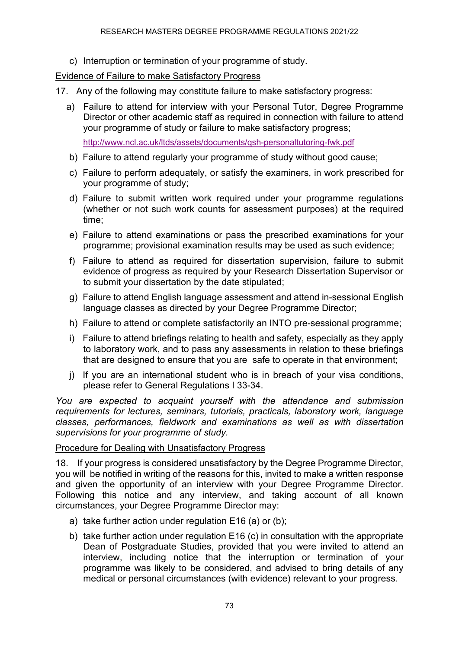c) Interruption or termination of your programme of study.

#### Evidence of Failure to make Satisfactory Progress

- 17. Any of the following may constitute failure to make satisfactory progress:
	- a) Failure to attend for interview with your Personal Tutor, Degree Programme Director or other academic staff as required in connection with failure to attend your programme of study or failure to make satisfactory progress;

<http://www.ncl.ac.uk/ltds/assets/documents/qsh-personaltutoring-fwk.pdf>

- b) Failure to attend regularly your programme of study without good cause;
- c) Failure to perform adequately, or satisfy the examiners, in work prescribed for your programme of study;
- d) Failure to submit written work required under your programme regulations (whether or not such work counts for assessment purposes) at the required time;
- e) Failure to attend examinations or pass the prescribed examinations for your programme; provisional examination results may be used as such evidence;
- f) Failure to attend as required for dissertation supervision, failure to submit evidence of progress as required by your Research Dissertation Supervisor or to submit your dissertation by the date stipulated;
- g) Failure to attend English language assessment and attend in-sessional English language classes as directed by your Degree Programme Director;
- h) Failure to attend or complete satisfactorily an INTO pre-sessional programme;
- i) Failure to attend briefings relating to health and safety, especially as they apply to laboratory work, and to pass any assessments in relation to these briefings that are designed to ensure that you are safe to operate in that environment;
- j) If you are an international student who is in breach of your visa conditions, please refer to General Regulations I 33-34.

*You are expected to acquaint yourself with the attendance and submission requirements for lectures, seminars, tutorials, practicals, laboratory work, language classes, performances, fieldwork and examinations as well as with dissertation supervisions for your programme of study.*

#### Procedure for Dealing with Unsatisfactory Progress

18. If your progress is considered unsatisfactory by the Degree Programme Director, you will be notified in writing of the reasons for this, invited to make a written response and given the opportunity of an interview with your Degree Programme Director. Following this notice and any interview, and taking account of all known circumstances, your Degree Programme Director may:

- a) take further action under regulation E16 (a) or (b);
- b) take further action under regulation E16 (c) in consultation with the appropriate Dean of Postgraduate Studies, provided that you were invited to attend an interview, including notice that the interruption or termination of your programme was likely to be considered, and advised to bring details of any medical or personal circumstances (with evidence) relevant to your progress.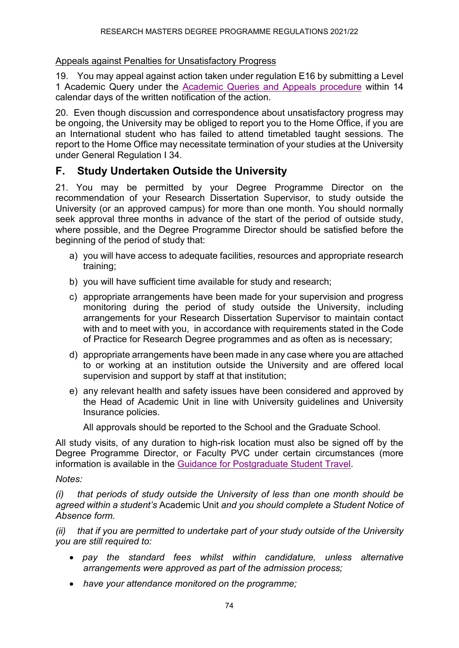#### Appeals against Penalties for Unsatisfactory Progress

19. You may appeal against action taken under regulation E16 by submitting a Level 1 Academic Query under the [Academic Queries and Appeals procedure](https://www.ncl.ac.uk/students/progress/Regulations/Procedures/appeals.htm) within 14 calendar days of the written notification of the action.

20. Even though discussion and correspondence about unsatisfactory progress may be ongoing, the University may be obliged to report you to the Home Office, if you are an International student who has failed to attend timetabled taught sessions. The report to the Home Office may necessitate termination of your studies at the University under General Regulation I 34.

## **F. Study Undertaken Outside the University**

21. You may be permitted by your Degree Programme Director on the recommendation of your Research Dissertation Supervisor, to study outside the University (or an approved campus) for more than one month. You should normally seek approval three months in advance of the start of the period of outside study, where possible, and the Degree Programme Director should be satisfied before the beginning of the period of study that:

- a) you will have access to adequate facilities, resources and appropriate research training;
- b) you will have sufficient time available for study and research;
- c) appropriate arrangements have been made for your supervision and progress monitoring during the period of study outside the University, including arrangements for your Research Dissertation Supervisor to maintain contact with and to meet with you, in accordance with requirements stated in the Code of Practice for Research Degree programmes and as often as is necessary;
- d) appropriate arrangements have been made in any case where you are attached to or working at an institution outside the University and are offered local supervision and support by staff at that institution;
- e) any relevant health and safety issues have been considered and approved by the Head of Academic Unit in line with University guidelines and University Insurance policies.

All approvals should be reported to the School and the Graduate School.

All study visits, of any duration to high-risk location must also be signed off by the Degree Programme Director, or Faculty PVC under certain circumstances (more information is available in the [Guidance for Postgraduate Student Travel.](https://www.ncl.ac.uk/media/wwwnclacuk/studentprogress/files/pgr/2020/PGR%20Student%20Travel%20Guidance%20December%202020.pdf)

#### *Notes:*

*(i) that periods of study outside the University of less than one month should be agreed within a student's* Academic Unit *and you should complete a Student Notice of Absence form.*

*(ii) that if you are permitted to undertake part of your study outside of the University you are still required to:*

- • *pay the standard fees whilst within candidature, unless alternative arrangements were approved as part of the admission process;*
- *have your attendance monitored on the programme;*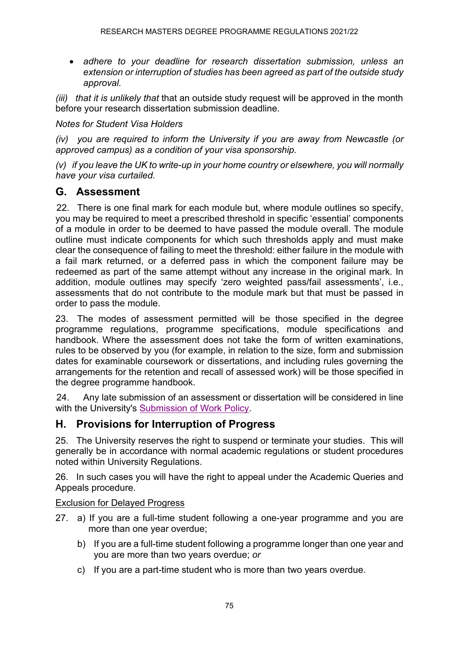• *adhere to your deadline for research dissertation submission, unless an extension or interruption of studies has been agreed as part of the outside study approval.*

*(iii) that it is unlikely that* that an outside study request will be approved in the month before your research dissertation submission deadline.

*Notes for Student Visa Holders*

*(iv) you are required to inform the University if you are away from Newcastle (or approved campus) as a condition of your visa sponsorship.*

*(v) if you leave the UK to write-up in your home country or elsewhere, you will normally have your visa curtailed.*

### **G. Assessment**

22. There is one final mark for each module but, where module outlines so specify, you may be required to meet a prescribed threshold in specific 'essential' components of a module in order to be deemed to have passed the module overall. The module outline must indicate components for which such thresholds apply and must make clear the consequence of failing to meet the threshold: either failure in the module with a fail mark returned, or a deferred pass in which the component failure may be redeemed as part of the same attempt without any increase in the original mark. In addition, module outlines may specify 'zero weighted pass/fail assessments', i.e., assessments that do not contribute to the module mark but that must be passed in order to pass the module.

23. The modes of assessment permitted will be those specified in the degree programme regulations, programme specifications, module specifications and handbook. Where the assessment does not take the form of written examinations, rules to be observed by you (for example, in relation to the size, form and submission dates for examinable coursework or dissertations, and including rules governing the arrangements for the retention and recall of assessed work) will be those specified in the degree programme handbook.

24. Any late submission of an assessment or dissertation will be considered in line with the University's [Submission of Work Policy.](http://www.ncl.ac.uk/ltds/assets/documents/qsh-assmt-assessedwork-policy.pdf)

## **H. Provisions for Interruption of Progress**

25. The University reserves the right to suspend or terminate your studies. This will generally be in accordance with normal academic regulations or student procedures noted within University Regulations.

26. In such cases you will have the right to appeal under the Academic Queries and Appeals procedure.

#### Exclusion for Delayed Progress

- 27. a) If you are a full-time student following a one-year programme and you are more than one year overdue;
	- b) If you are a full-time student following a programme longer than one year and you are more than two years overdue; *or*
	- c) If you are a part-time student who is more than two years overdue.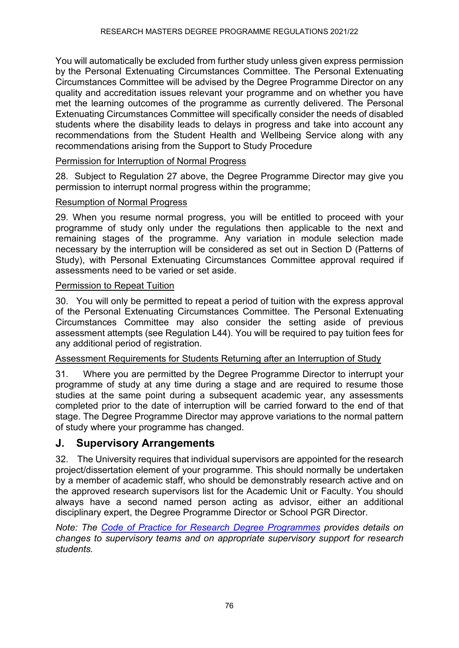You will automatically be excluded from further study unless given express permission by the Personal Extenuating Circumstances Committee. The Personal Extenuating Circumstances Committee will be advised by the Degree Programme Director on any quality and accreditation issues relevant your programme and on whether you have met the learning outcomes of the programme as currently delivered. The Personal Extenuating Circumstances Committee will specifically consider the needs of disabled students where the disability leads to delays in progress and take into account any recommendations from the Student Health and Wellbeing Service along with any recommendations arising from the Support to Study Procedure

#### Permission for Interruption of Normal Progress

28. Subject to Regulation 27 above, the Degree Programme Director may give you permission to interrupt normal progress within the programme;

#### Resumption of Normal Progress

29. When you resume normal progress, you will be entitled to proceed with your programme of study only under the regulations then applicable to the next and remaining stages of the programme. Any variation in module selection made necessary by the interruption will be considered as set out in Section D (Patterns of Study), with Personal Extenuating Circumstances Committee approval required if assessments need to be varied or set aside.

#### Permission to Repeat Tuition

30. You will only be permitted to repeat a period of tuition with the express approval of the Personal Extenuating Circumstances Committee. The Personal Extenuating Circumstances Committee may also consider the setting aside of previous assessment attempts (see Regulation L44). You will be required to pay tuition fees for any additional period of registration.

#### Assessment Requirements for Students Returning after an Interruption of Study

31. Where you are permitted by the Degree Programme Director to interrupt your programme of study at any time during a stage and are required to resume those studies at the same point during a subsequent academic year, any assessments completed prior to the date of interruption will be carried forward to the end of that stage. The Degree Programme Director may approve variations to the normal pattern of study where your programme has changed.

#### **J. Supervisory Arrangements**

32. The University requires that individual supervisors are appointed for the research project/dissertation element of your programme. This should normally be undertaken by a member of academic staff, who should be demonstrably research active and on the approved research supervisors list for the Academic Unit or Faculty. You should always have a second named person acting as advisor, either an additional disciplinary expert, the Degree Programme Director or School PGR Director.

*Note: The [Code of Practice for Research Degree](https://www.ncl.ac.uk/student-progress/pgr/publications/) Programmes provides details on changes to supervisory teams and on appropriate supervisory support for research students.*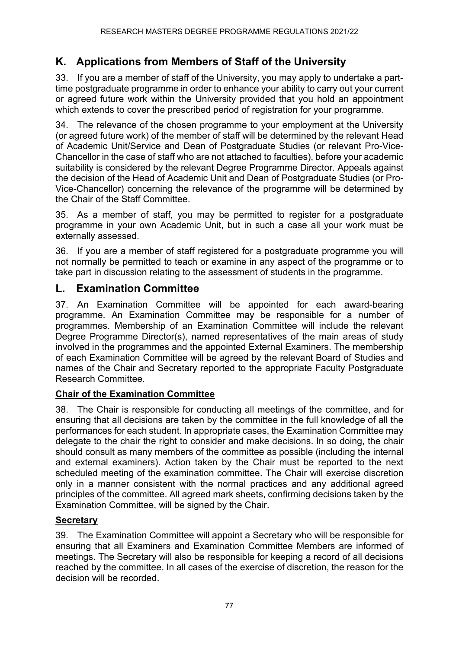# **K. Applications from Members of Staff of the University**

33. If you are a member of staff of the University, you may apply to undertake a parttime postgraduate programme in order to enhance your ability to carry out your current or agreed future work within the University provided that you hold an appointment which extends to cover the prescribed period of registration for your programme.

34. The relevance of the chosen programme to your employment at the University (or agreed future work) of the member of staff will be determined by the relevant Head of Academic Unit/Service and Dean of Postgraduate Studies (or relevant Pro-Vice-Chancellor in the case of staff who are not attached to faculties), before your academic suitability is considered by the relevant Degree Programme Director. Appeals against the decision of the Head of Academic Unit and Dean of Postgraduate Studies (or Pro-Vice-Chancellor) concerning the relevance of the programme will be determined by the Chair of the Staff Committee.

35. As a member of staff, you may be permitted to register for a postgraduate programme in your own Academic Unit, but in such a case all your work must be externally assessed.

36. If you are a member of staff registered for a postgraduate programme you will not normally be permitted to teach or examine in any aspect of the programme or to take part in discussion relating to the assessment of students in the programme.

## **L. Examination Committee**

37. An Examination Committee will be appointed for each award-bearing programme. An Examination Committee may be responsible for a number of programmes. Membership of an Examination Committee will include the relevant Degree Programme Director(s), named representatives of the main areas of study involved in the programmes and the appointed External Examiners. The membership of each Examination Committee will be agreed by the relevant Board of Studies and names of the Chair and Secretary reported to the appropriate Faculty Postgraduate Research Committee.

#### **Chair of the Examination Committee**

38. The Chair is responsible for conducting all meetings of the committee, and for ensuring that all decisions are taken by the committee in the full knowledge of all the performances for each student. In appropriate cases, the Examination Committee may delegate to the chair the right to consider and make decisions. In so doing, the chair should consult as many members of the committee as possible (including the internal and external examiners). Action taken by the Chair must be reported to the next scheduled meeting of the examination committee. The Chair will exercise discretion only in a manner consistent with the normal practices and any additional agreed principles of the committee. All agreed mark sheets, confirming decisions taken by the Examination Committee, will be signed by the Chair.

#### **Secretary**

39. The Examination Committee will appoint a Secretary who will be responsible for ensuring that all Examiners and Examination Committee Members are informed of meetings. The Secretary will also be responsible for keeping a record of all decisions reached by the committee. In all cases of the exercise of discretion, the reason for the decision will be recorded.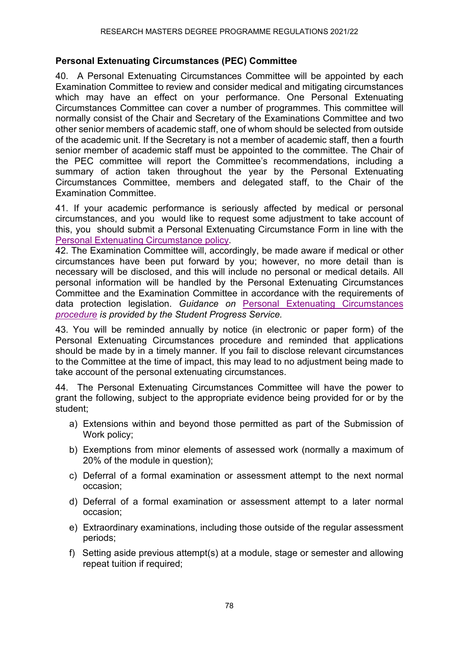#### **Personal Extenuating Circumstances (PEC) Committee**

40. A Personal Extenuating Circumstances Committee will be appointed by each Examination Committee to review and consider medical and mitigating circumstances which may have an effect on your performance. One Personal Extenuating Circumstances Committee can cover a number of programmes. This committee will normally consist of the Chair and Secretary of the Examinations Committee and two other senior members of academic staff, one of whom should be selected from outside of the academic unit. If the Secretary is not a member of academic staff, then a fourth senior member of academic staff must be appointed to the committee. The Chair of the PEC committee will report the Committee's recommendations, including a summary of action taken throughout the year by the Personal Extenuating Circumstances Committee, members and delegated staff, to the Chair of the Examination Committee.

41. If your academic performance is seriously affected by medical or personal circumstances, and you would like to request some adjustment to take account of this, you should submit a Personal Extenuating Circumstance Form in line with the [Personal Extenuating Circumstance policy.](https://www.ncl.ac.uk/students/progress/Regulations/Procedures/change/PEC.htm)

42. The Examination Committee will, accordingly, be made aware if medical or other circumstances have been put forward by you; however, no more detail than is necessary will be disclosed, and this will include no personal or medical details. All personal information will be handled by the Personal Extenuating Circumstances Committee and the Examination Committee in accordance with the requirements of data protection legislation. *Guidance on* [Personal Extenuating Circumstances](https://www.ncl.ac.uk/students/progress/Regulations/Procedures/change/PEC.htm) *[procedure](https://www.ncl.ac.uk/students/progress/Regulations/Procedures/change/PEC.htm) is provided by the Student Progress Service.*

43. You will be reminded annually by notice (in electronic or paper form) of the Personal Extenuating Circumstances procedure and reminded that applications should be made by in a timely manner. If you fail to disclose relevant circumstances to the Committee at the time of impact, this may lead to no adjustment being made to take account of the personal extenuating circumstances.

44. The Personal Extenuating Circumstances Committee will have the power to grant the following, subject to the appropriate evidence being provided for or by the student;

- a) Extensions within and beyond those permitted as part of the Submission of Work policy;
- b) Exemptions from minor elements of assessed work (normally a maximum of 20% of the module in question);
- c) Deferral of a formal examination or assessment attempt to the next normal occasion;
- d) Deferral of a formal examination or assessment attempt to a later normal occasion;
- e) Extraordinary examinations, including those outside of the regular assessment periods;
- f) Setting aside previous attempt(s) at a module, stage or semester and allowing repeat tuition if required;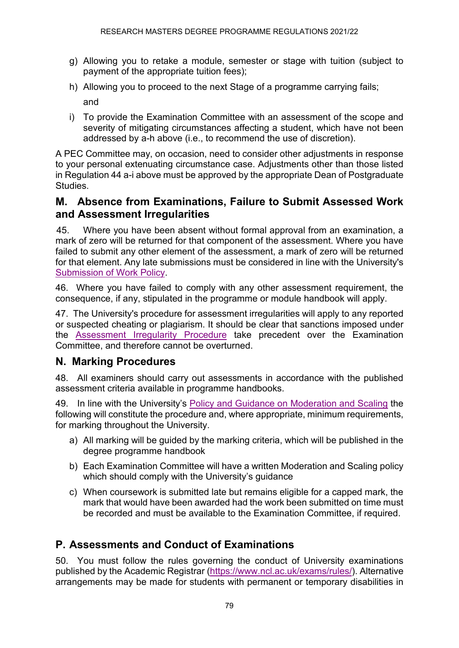- g) Allowing you to retake a module, semester or stage with tuition (subject to payment of the appropriate tuition fees);
- h) Allowing you to proceed to the next Stage of a programme carrying fails; and
- i) To provide the Examination Committee with an assessment of the scope and severity of mitigating circumstances affecting a student, which have not been addressed by a-h above (i.e., to recommend the use of discretion).

A PEC Committee may, on occasion, need to consider other adjustments in response to your personal extenuating circumstance case. Adjustments other than those listed in Regulation 44 a-i above must be approved by the appropriate Dean of Postgraduate Studies.

### **M. Absence from Examinations, Failure to Submit Assessed Work and Assessment Irregularities**

45. Where you have been absent without formal approval from an examination, a mark of zero will be returned for that component of the assessment. Where you have failed to submit any other element of the assessment, a mark of zero will be returned for that element. Any late submissions must be considered in line with the University's [Submission of Work Policy.](http://www.ncl.ac.uk/ltds/assets/documents/qsh-assmt-assessedwork-policy.pdf)

46. Where you have failed to comply with any other assessment requirement, the consequence, if any, stipulated in the programme or module handbook will apply.

47. The University's procedure for assessment irregularities will apply to any reported or suspected cheating or plagiarism. It should be clear that sanctions imposed under the [Assessment Irregularity Procedure](https://www.ncl.ac.uk/students/progress/Regulations/Procedures/assessment.htm) take precedent over the Examination Committee, and therefore cannot be overturned.

## **N. Marking Procedures**

48. All examiners should carry out assessments in accordance with the published assessment criteria available in programme handbooks.

49. In line with the University's Policy and [Guidance on Moderation and Scaling](http://www.ncl.ac.uk/ltds/assets/documents/qsh-assmt-modscal-pol.pdf) the following will constitute the procedure and, where appropriate, minimum requirements, for marking throughout the University.

- a) All marking will be guided by the marking criteria, which will be published in the degree programme handbook
- b) Each Examination Committee will have a written Moderation and Scaling policy which should comply with the University's guidance
- c) When coursework is submitted late but remains eligible for a capped mark, the mark that would have been awarded had the work been submitted on time must be recorded and must be available to the Examination Committee, if required.

# **P. Assessments and Conduct of Examinations**

50. You must follow the rules governing the conduct of University examinations published by the Academic Registrar [\(https://www.ncl.ac.uk/exams/rules/\)](https://www.ncl.ac.uk/exams/rules/). Alternative arrangements may be made for students with permanent or temporary disabilities in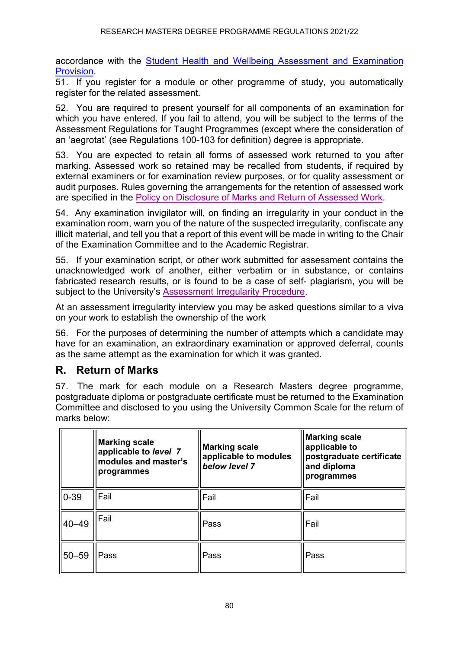accordance with the [Student Health and Wellbeing Assessment and Examination](https://www.ncl.ac.uk/exams/alternative-arrangements/#examarrangements)  [Provision.](https://www.ncl.ac.uk/exams/alternative-arrangements/#examarrangements)

51. If you register for a module or other programme of study, you automatically register for the related assessment.

52. You are required to present yourself for all components of an examination for which you have entered. If you fail to attend, you will be subject to the terms of the Assessment Regulations for Taught Programmes (except where the consideration of an 'aegrotat' (see Regulations 100-103 for definition) degree is appropriate.

53. You are expected to retain all forms of assessed work returned to you after marking. Assessed work so retained may be recalled from students, if required by external examiners or for examination review purposes, or for quality assessment or audit purposes. Rules governing the arrangements for the retention of assessed work are specified in the [Policy on Disclosure of Marks and Return of Assessed Work.](http://www.ncl.ac.uk/ltds/assets/documents/qsh-assmt-assessedwork-policy.pdf)

54. Any examination invigilator will, on finding an irregularity in your conduct in the examination room, warn you of the nature of the suspected irregularity, confiscate any illicit material, and tell you that a report of this event will be made in writing to the Chair of the Examination Committee and to the Academic Registrar.

55. If your examination script, or other work submitted for assessment contains the unacknowledged work of another, either verbatim or in substance, or contains fabricated research results, or is found to be a case of self- plagiarism, you will be subject to the University's [Assessment Irregularity Procedure.](https://www.ncl.ac.uk/student-progress/policies/procedures/assessment%20irregularities/)

At an assessment irregularity interview you may be asked questions similar to a viva on your work to establish the ownership of the work

56. For the purposes of determining the number of attempts which a candidate may have for an examination, an extraordinary examination or approved deferral, counts as the same attempt as the examination for which it was granted.

## **R. Return of Marks**

57. The mark for each module on a Research Masters degree programme, postgraduate diploma or postgraduate certificate must be returned to the Examination Committee and disclosed to you using the University Common Scale for the return of marks below:

|           | <b>Marking scale</b><br>applicable to level 7<br>modules and master's<br>programmes | <b>Marking scale</b><br>applicable to modules<br>below level 7 | <b>Marking scale</b><br>applicable to<br>postgraduate certificate<br>and diploma<br>programmes |
|-----------|-------------------------------------------------------------------------------------|----------------------------------------------------------------|------------------------------------------------------------------------------------------------|
| $0 - 39$  | Fail                                                                                | Fail                                                           | Fail                                                                                           |
| 140-49    | Fail                                                                                | Pass                                                           | Fail                                                                                           |
| $50 - 59$ | Pass                                                                                | Pass                                                           | Pass                                                                                           |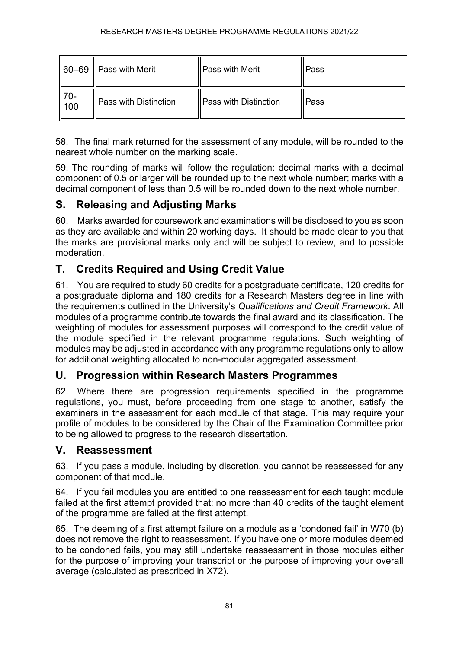|                 | $  60-69  $ Pass with Merit | <b>Pass with Merit</b>       | Pass |
|-----------------|-----------------------------|------------------------------|------|
| $\frac{1}{100}$ | Pass with Distinction       | <b>Pass with Distinction</b> | Pass |

58. The final mark returned for the assessment of any module, will be rounded to the nearest whole number on the marking scale.

59. The rounding of marks will follow the regulation: decimal marks with a decimal component of 0.5 or larger will be rounded up to the next whole number; marks with a decimal component of less than 0.5 will be rounded down to the next whole number.

# **S. Releasing and Adjusting Marks**

60. Marks awarded for coursework and examinations will be disclosed to you as soon as they are available and within 20 working days. It should be made clear to you that the marks are provisional marks only and will be subject to review, and to possible moderation.

# **T. Credits Required and Using Credit Value**

61. You are required to study 60 credits for a postgraduate certificate, 120 credits for a postgraduate diploma and 180 credits for a Research Masters degree in line with the requirements outlined in the University's *Qualifications and Credit Framework*. All modules of a programme contribute towards the final award and its classification. The weighting of modules for assessment purposes will correspond to the credit value of the module specified in the relevant programme regulations. Such weighting of modules may be adjusted in accordance with any programme regulations only to allow for additional weighting allocated to non-modular aggregated assessment.

#### **U. Progression within Research Masters Programmes**

62. Where there are progression requirements specified in the programme regulations, you must, before proceeding from one stage to another, satisfy the examiners in the assessment for each module of that stage. This may require your profile of modules to be considered by the Chair of the Examination Committee prior to being allowed to progress to the research dissertation.

## **V. Reassessment**

63. If you pass a module, including by discretion, you cannot be reassessed for any component of that module.

64. If you fail modules you are entitled to one reassessment for each taught module failed at the first attempt provided that: no more than 40 credits of the taught element of the programme are failed at the first attempt.

65. The deeming of a first attempt failure on a module as a 'condoned fail' in W70 (b) does not remove the right to reassessment. If you have one or more modules deemed to be condoned fails, you may still undertake reassessment in those modules either for the purpose of improving your transcript or the purpose of improving your overall average (calculated as prescribed in X72).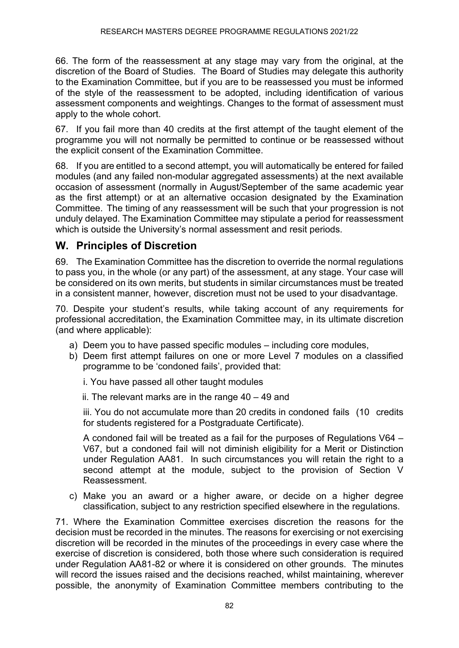66. The form of the reassessment at any stage may vary from the original, at the discretion of the Board of Studies. The Board of Studies may delegate this authority to the Examination Committee, but if you are to be reassessed you must be informed of the style of the reassessment to be adopted, including identification of various assessment components and weightings. Changes to the format of assessment must apply to the whole cohort.

67. If you fail more than 40 credits at the first attempt of the taught element of the programme you will not normally be permitted to continue or be reassessed without the explicit consent of the Examination Committee.

68. If you are entitled to a second attempt, you will automatically be entered for failed modules (and any failed non-modular aggregated assessments) at the next available occasion of assessment (normally in August/September of the same academic year as the first attempt) or at an alternative occasion designated by the Examination Committee. The timing of any reassessment will be such that your progression is not unduly delayed. The Examination Committee may stipulate a period for reassessment which is outside the University's normal assessment and resit periods.

## **W. Principles of Discretion**

69. The Examination Committee has the discretion to override the normal regulations to pass you, in the whole (or any part) of the assessment, at any stage. Your case will be considered on its own merits, but students in similar circumstances must be treated in a consistent manner, however, discretion must not be used to your disadvantage.

70. Despite your student's results, while taking account of any requirements for professional accreditation, the Examination Committee may, in its ultimate discretion (and where applicable):

- a) Deem you to have passed specific modules including core modules,
- b) Deem first attempt failures on one or more Level 7 modules on a classified programme to be 'condoned fails', provided that:

i. You have passed all other taught modules

ii. The relevant marks are in the range 40 – 49 and

iii. You do not accumulate more than 20 credits in condoned fails (10 credits for students registered for a Postgraduate Certificate).

A condoned fail will be treated as a fail for the purposes of Regulations V64 – V67, but a condoned fail will not diminish eligibility for a Merit or Distinction under Regulation AA81. In such circumstances you will retain the right to a second attempt at the module, subject to the provision of Section V Reassessment.

c) Make you an award or a higher aware, or decide on a higher degree classification, subject to any restriction specified elsewhere in the regulations.

71. Where the Examination Committee exercises discretion the reasons for the decision must be recorded in the minutes. The reasons for exercising or not exercising discretion will be recorded in the minutes of the proceedings in every case where the exercise of discretion is considered, both those where such consideration is required under Regulation AA81-82 or where it is considered on other grounds. The minutes will record the issues raised and the decisions reached, whilst maintaining, wherever possible, the anonymity of Examination Committee members contributing to the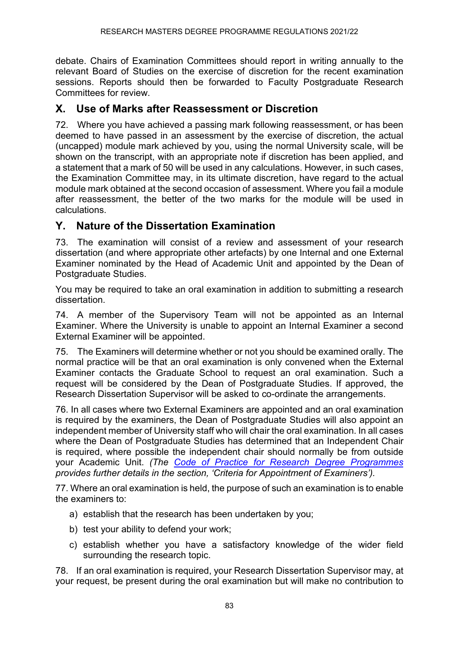debate. Chairs of Examination Committees should report in writing annually to the relevant Board of Studies on the exercise of discretion for the recent examination sessions. Reports should then be forwarded to Faculty Postgraduate Research Committees for review.

### **X. Use of Marks after Reassessment or Discretion**

72. Where you have achieved a passing mark following reassessment, or has been deemed to have passed in an assessment by the exercise of discretion, the actual (uncapped) module mark achieved by you, using the normal University scale, will be shown on the transcript, with an appropriate note if discretion has been applied, and a statement that a mark of 50 will be used in any calculations. However, in such cases, the Examination Committee may, in its ultimate discretion, have regard to the actual module mark obtained at the second occasion of assessment. Where you fail a module after reassessment, the better of the two marks for the module will be used in calculations.

## **Y. Nature of the Dissertation Examination**

73. The examination will consist of a review and assessment of your research dissertation (and where appropriate other artefacts) by one Internal and one External Examiner nominated by the Head of Academic Unit and appointed by the Dean of Postgraduate Studies.

You may be required to take an oral examination in addition to submitting a research dissertation.

74. A member of the Supervisory Team will not be appointed as an Internal Examiner. Where the University is unable to appoint an Internal Examiner a second External Examiner will be appointed.

75. The Examiners will determine whether or not you should be examined orally. The normal practice will be that an oral examination is only convened when the External Examiner contacts the Graduate School to request an oral examination. Such a request will be considered by the Dean of Postgraduate Studies. If approved, the Research Dissertation Supervisor will be asked to co-ordinate the arrangements.

76. In all cases where two External Examiners are appointed and an oral examination is required by the examiners, the Dean of Postgraduate Studies will also appoint an independent member of University staff who will chair the oral examination. In all cases where the Dean of Postgraduate Studies has determined that an Independent Chair is required, where possible the independent chair should normally be from outside your Academic Unit. *(The [Code of Practice for Research Degree Programmes](https://www.ncl.ac.uk/student-progress/pgr/publications/) provides further details in the section, 'Criteria for Appointment of Examiners').*

77. Where an oral examination is held, the purpose of such an examination is to enable the examiners to:

- a) establish that the research has been undertaken by you;
- b) test your ability to defend your work;
- c) establish whether you have a satisfactory knowledge of the wider field surrounding the research topic.

78. If an oral examination is required, your Research Dissertation Supervisor may, at your request, be present during the oral examination but will make no contribution to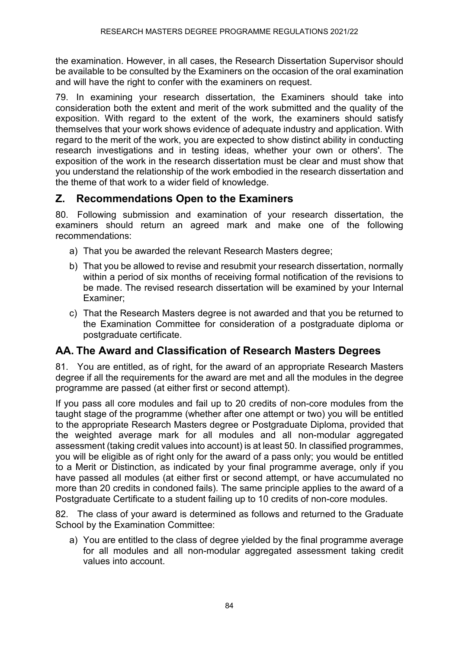the examination. However, in all cases, the Research Dissertation Supervisor should be available to be consulted by the Examiners on the occasion of the oral examination and will have the right to confer with the examiners on request.

79. In examining your research dissertation, the Examiners should take into consideration both the extent and merit of the work submitted and the quality of the exposition. With regard to the extent of the work, the examiners should satisfy themselves that your work shows evidence of adequate industry and application. With regard to the merit of the work, you are expected to show distinct ability in conducting research investigations and in testing ideas, whether your own or others'. The exposition of the work in the research dissertation must be clear and must show that you understand the relationship of the work embodied in the research dissertation and the theme of that work to a wider field of knowledge.

## **Z. Recommendations Open to the Examiners**

80. Following submission and examination of your research dissertation, the examiners should return an agreed mark and make one of the following recommendations:

- a) That you be awarded the relevant Research Masters degree;
- b) That you be allowed to revise and resubmit your research dissertation, normally within a period of six months of receiving formal notification of the revisions to be made. The revised research dissertation will be examined by your Internal Examiner;
- c) That the Research Masters degree is not awarded and that you be returned to the Examination Committee for consideration of a postgraduate diploma or postgraduate certificate.

# **AA. The Award and Classification of Research Masters Degrees**

81. You are entitled, as of right, for the award of an appropriate Research Masters degree if all the requirements for the award are met and all the modules in the degree programme are passed (at either first or second attempt).

If you pass all core modules and fail up to 20 credits of non-core modules from the taught stage of the programme (whether after one attempt or two) you will be entitled to the appropriate Research Masters degree or Postgraduate Diploma, provided that the weighted average mark for all modules and all non-modular aggregated assessment (taking credit values into account) is at least 50. In classified programmes, you will be eligible as of right only for the award of a pass only; you would be entitled to a Merit or Distinction, as indicated by your final programme average, only if you have passed all modules (at either first or second attempt, or have accumulated no more than 20 credits in condoned fails). The same principle applies to the award of a Postgraduate Certificate to a student failing up to 10 credits of non-core modules.

82. The class of your award is determined as follows and returned to the Graduate School by the Examination Committee:

a) You are entitled to the class of degree yielded by the final programme average for all modules and all non-modular aggregated assessment taking credit values into account.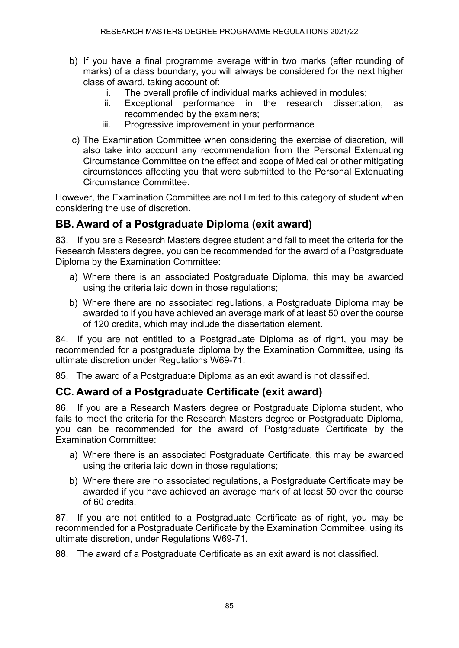- b) If you have a final programme average within two marks (after rounding of marks) of a class boundary, you will always be considered for the next higher class of award, taking account of:
	- i. The overall profile of individual marks achieved in modules;
	- ii. Exceptional performance in the research dissertation, as recommended by the examiners;
	- iii. Progressive improvement in your performance
- c) The Examination Committee when considering the exercise of discretion, will also take into account any recommendation from the Personal Extenuating Circumstance Committee on the effect and scope of Medical or other mitigating circumstances affecting you that were submitted to the Personal Extenuating Circumstance Committee.

However, the Examination Committee are not limited to this category of student when considering the use of discretion.

## **BB. Award of a Postgraduate Diploma (exit award)**

83. If you are a Research Masters degree student and fail to meet the criteria for the Research Masters degree, you can be recommended for the award of a Postgraduate Diploma by the Examination Committee:

- a) Where there is an associated Postgraduate Diploma, this may be awarded using the criteria laid down in those regulations;
- b) Where there are no associated regulations, a Postgraduate Diploma may be awarded to if you have achieved an average mark of at least 50 over the course of 120 credits, which may include the dissertation element.

84. If you are not entitled to a Postgraduate Diploma as of right, you may be recommended for a postgraduate diploma by the Examination Committee, using its ultimate discretion under Regulations W69-71.

85. The award of a Postgraduate Diploma as an exit award is not classified.

# **CC. Award of a Postgraduate Certificate (exit award)**

86. If you are a Research Masters degree or Postgraduate Diploma student, who fails to meet the criteria for the Research Masters degree or Postgraduate Diploma, you can be recommended for the award of Postgraduate Certificate by the Examination Committee:

- a) Where there is an associated Postgraduate Certificate, this may be awarded using the criteria laid down in those regulations;
- b) Where there are no associated regulations, a Postgraduate Certificate may be awarded if you have achieved an average mark of at least 50 over the course of 60 credits.

87. If you are not entitled to a Postgraduate Certificate as of right, you may be recommended for a Postgraduate Certificate by the Examination Committee, using its ultimate discretion, under Regulations W69-71.

88. The award of a Postgraduate Certificate as an exit award is not classified.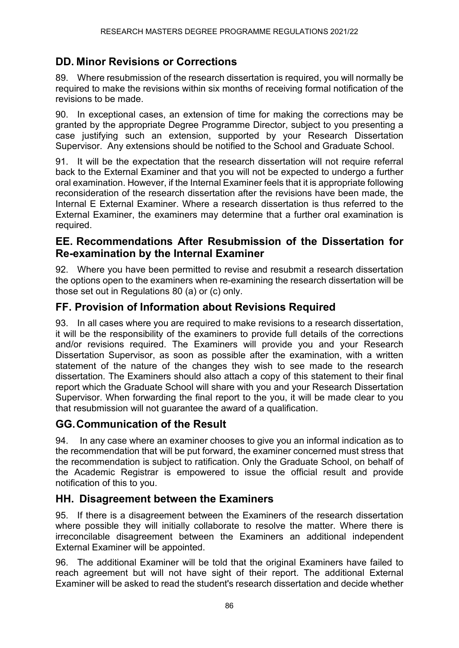## **DD. Minor Revisions or Corrections**

89. Where resubmission of the research dissertation is required, you will normally be required to make the revisions within six months of receiving formal notification of the revisions to be made.

90. In exceptional cases, an extension of time for making the corrections may be granted by the appropriate Degree Programme Director, subject to you presenting a case justifying such an extension, supported by your Research Dissertation Supervisor. Any extensions should be notified to the School and Graduate School.

91. It will be the expectation that the research dissertation will not require referral back to the External Examiner and that you will not be expected to undergo a further oral examination. However, if the Internal Examiner feels that it is appropriate following reconsideration of the research dissertation after the revisions have been made, the Internal E External Examiner. Where a research dissertation is thus referred to the External Examiner, the examiners may determine that a further oral examination is required.

#### **EE. Recommendations After Resubmission of the Dissertation for Re-examination by the Internal Examiner**

92. Where you have been permitted to revise and resubmit a research dissertation the options open to the examiners when re-examining the research dissertation will be those set out in Regulations 80 (a) or (c) only.

## **FF. Provision of Information about Revisions Required**

93. In all cases where you are required to make revisions to a research dissertation, it will be the responsibility of the examiners to provide full details of the corrections and/or revisions required. The Examiners will provide you and your Research Dissertation Supervisor, as soon as possible after the examination, with a written statement of the nature of the changes they wish to see made to the research dissertation. The Examiners should also attach a copy of this statement to their final report which the Graduate School will share with you and your Research Dissertation Supervisor. When forwarding the final report to the you, it will be made clear to you that resubmission will not guarantee the award of a qualification.

## **GG.Communication of the Result**

94. In any case where an examiner chooses to give you an informal indication as to the recommendation that will be put forward, the examiner concerned must stress that the recommendation is subject to ratification. Only the Graduate School, on behalf of the Academic Registrar is empowered to issue the official result and provide notification of this to you.

#### **HH. Disagreement between the Examiners**

95. If there is a disagreement between the Examiners of the research dissertation where possible they will initially collaborate to resolve the matter. Where there is irreconcilable disagreement between the Examiners an additional independent External Examiner will be appointed.

96. The additional Examiner will be told that the original Examiners have failed to reach agreement but will not have sight of their report. The additional External Examiner will be asked to read the student's research dissertation and decide whether